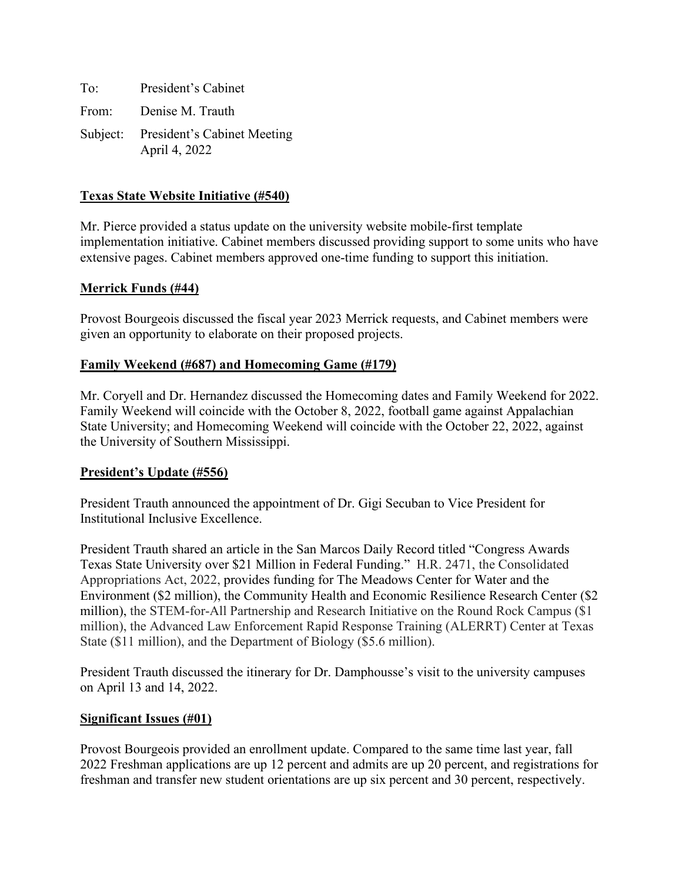To: President's Cabinet From: Denise M. Trauth Subject: President's Cabinet Meeting April 4, 2022

# **Texas State Website Initiative (#540)**

Mr. Pierce provided a status update on the university website mobile-first template implementation initiative. Cabinet members discussed providing support to some units who have extensive pages. Cabinet members approved one-time funding to support this initiation.

# **Merrick Funds (#44)**

Provost Bourgeois discussed the fiscal year 2023 Merrick requests, and Cabinet members were given an opportunity to elaborate on their proposed projects.

## **Family Weekend (#687) and Homecoming Game (#179)**

Mr. Coryell and Dr. Hernandez discussed the Homecoming dates and Family Weekend for 2022. Family Weekend will coincide with the October 8, 2022, football game against Appalachian State University; and Homecoming Weekend will coincide with the October 22, 2022, against the University of Southern Mississippi.

## **President's Update (#556)**

President Trauth announced the appointment of Dr. Gigi Secuban to Vice President for Institutional Inclusive Excellence.

President Trauth shared an article in the San Marcos Daily Record titled "Congress Awards Texas State University over \$21 Million in Federal Funding." H.R. 2471, the Consolidated Appropriations Act, 2022, provides funding for The Meadows Center for Water and the Environment (\$2 million), the Community Health and Economic Resilience Research Center (\$2 million), the STEM-for-All Partnership and Research Initiative on the Round Rock Campus (\$1 million), the Advanced Law Enforcement Rapid Response Training (ALERRT) Center at Texas State (\$11 million), and the Department of Biology (\$5.6 million).

President Trauth discussed the itinerary for Dr. Damphousse's visit to the university campuses on April 13 and 14, 2022.

## **Significant Issues (#01)**

Provost Bourgeois provided an enrollment update. Compared to the same time last year, fall 2022 Freshman applications are up 12 percent and admits are up 20 percent, and registrations for freshman and transfer new student orientations are up six percent and 30 percent, respectively.